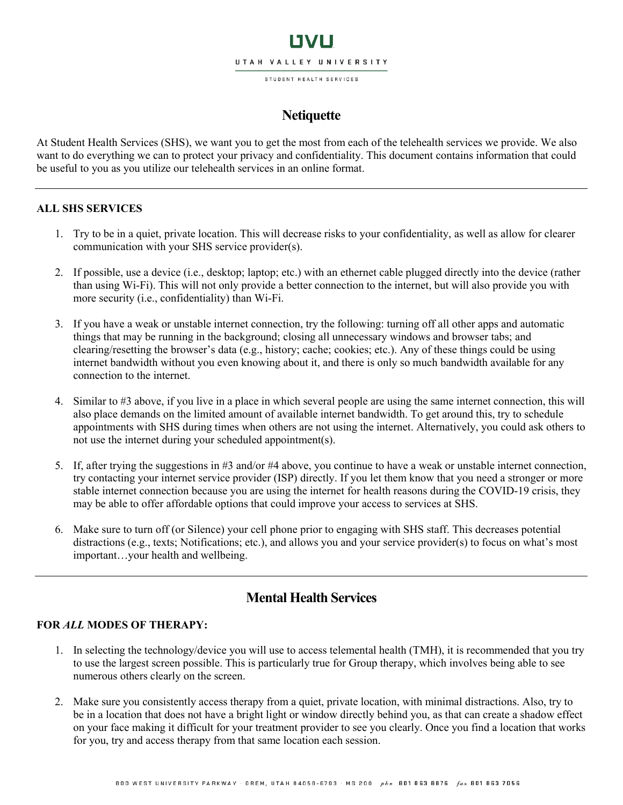# LIVLI UTAH VALLEY UNIVERSITY

STUDENT HEALTH SERVICES

## **Netiquette**

At Student Health Services (SHS), we want you to get the most from each of the telehealth services we provide. We also want to do everything we can to protect your privacy and confidentiality. This document contains information that could be useful to you as you utilize our telehealth services in an online format.

#### **ALL SHS SERVICES**

- 1. Try to be in a quiet, private location. This will decrease risks to your confidentiality, as well as allow for clearer communication with your SHS service provider(s).
- 2. If possible, use a device (i.e., desktop; laptop; etc.) with an ethernet cable plugged directly into the device (rather than using Wi-Fi). This will not only provide a better connection to the internet, but will also provide you with more security (i.e., confidentiality) than Wi-Fi.
- 3. If you have a weak or unstable internet connection, try the following: turning off all other apps and automatic things that may be running in the background; closing all unnecessary windows and browser tabs; and clearing/resetting the browser's data (e.g., history; cache; cookies; etc.). Any of these things could be using internet bandwidth without you even knowing about it, and there is only so much bandwidth available for any connection to the internet.
- 4. Similar to #3 above, if you live in a place in which several people are using the same internet connection, this will also place demands on the limited amount of available internet bandwidth. To get around this, try to schedule appointments with SHS during times when others are not using the internet. Alternatively, you could ask others to not use the internet during your scheduled appointment(s).
- 5. If, after trying the suggestions in #3 and/or #4 above, you continue to have a weak or unstable internet connection, try contacting your internet service provider (ISP) directly. If you let them know that you need a stronger or more stable internet connection because you are using the internet for health reasons during the COVID-19 crisis, they may be able to offer affordable options that could improve your access to services at SHS.
- 6. Make sure to turn off (or Silence) your cell phone prior to engaging with SHS staff. This decreases potential distractions (e.g., texts; Notifications; etc.), and allows you and your service provider(s) to focus on what's most important…your health and wellbeing.

### **Mental Health Services**

### **FOR** *ALL* **MODES OF THERAPY:**

- 1. In selecting the technology/device you will use to access telemental health (TMH), it is recommended that you try to use the largest screen possible. This is particularly true for Group therapy, which involves being able to see numerous others clearly on the screen.
- 2. Make sure you consistently access therapy from a quiet, private location, with minimal distractions. Also, try to be in a location that does not have a bright light or window directly behind you, as that can create a shadow effect on your face making it difficult for your treatment provider to see you clearly. Once you find a location that works for you, try and access therapy from that same location each session.